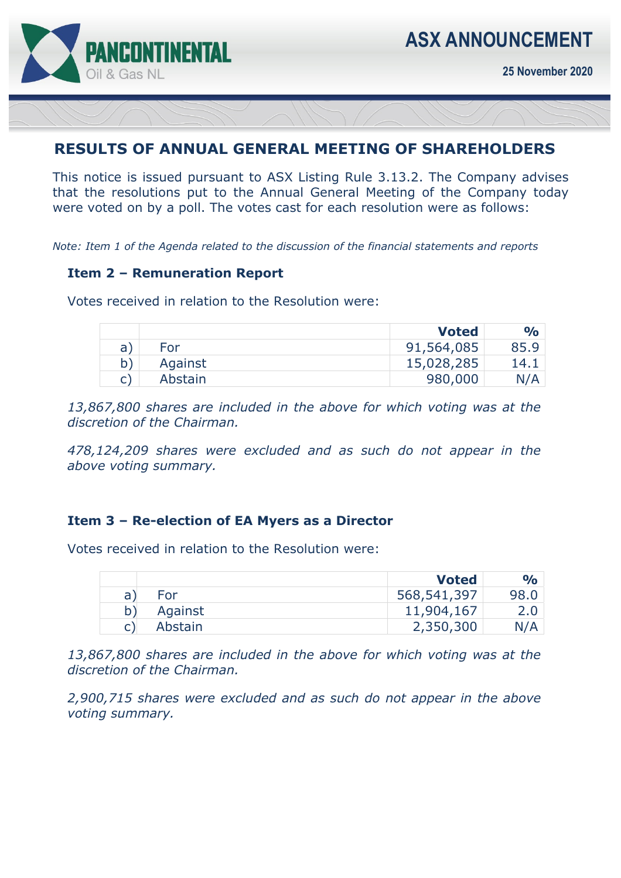

**25 November 2020** 

# **RESULTS OF ANNUAL GENERAL MEETING OF SHAREHOLDERS**

This notice is issued pursuant to ASX Listing Rule 3.13.2. The Company advises that the resolutions put to the Annual General Meeting of the Company today were voted on by a poll. The votes cast for each resolution were as follows:

*Note: Item 1 of the Agenda related to the discussion of the financial statements and reports* 

## **Item 2 – Remuneration Report**

Votes received in relation to the Resolution were:

|    |            | <b>Voted</b> | $\mathbf{O}/\mathbf{O}$ |
|----|------------|--------------|-------------------------|
| a: | <b>For</b> | 91,564,085   | 85.9                    |
| b) | Against    | 15,028,285   | 14.1                    |
|    | Abstain    | 980,000      | N/A                     |

*13,867,800 shares are included in the above for which voting was at the discretion of the Chairman.* 

*478,124,209 shares were excluded and as such do not appear in the above voting summary.* 

#### **Item 3 – Re-election of EA Myers as a Director**

Votes received in relation to the Resolution were:

|              |         | <b>Voted</b> | $\frac{1}{2}$ |
|--------------|---------|--------------|---------------|
| $\mathsf{a}$ | For     | 568,541,397  | 98.0          |
|              | Against | 11,904,167   |               |
|              | Abstain | 2,350,300    | N/A           |

*13,867,800 shares are included in the above for which voting was at the discretion of the Chairman.* 

*2,900,715 shares were excluded and as such do not appear in the above voting summary.*